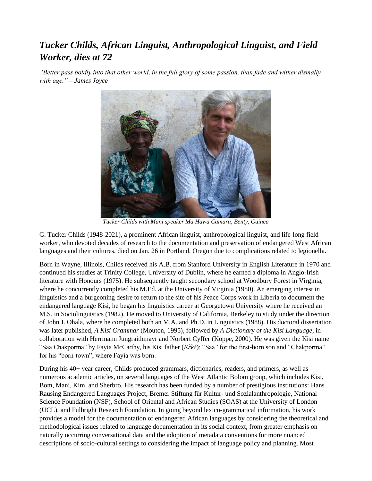## *Tucker Childs, African Linguist, Anthropological Linguist, and Field Worker, dies at 72*

*"Better pass boldly into that other world, in the full glory of some passion, than fade and wither dismally with age." – James Joyce*



*Tucker Childs with Mani speaker Ma Hawa Camara, Benty, Guinea*

G. Tucker Childs (1948-2021), a prominent African linguist, anthropological linguist, and life-long field worker, who devoted decades of research to the documentation and preservation of endangered West African languages and their cultures, died on Jan. 26 in Portland, Oregon due to complications related to legionella.

Born in Wayne, Illinois, Childs received his A.B. from Stanford University in English Literature in 1970 and continued his studies at Trinity College, University of Dublin, where he earned a diploma in Anglo-Irish literature with Honours (1975). He subsequently taught secondary school at Woodbury Forest in Virginia, where he concurrently completed his M.Ed. at the University of Virginia (1980). An emerging interest in linguistics and a burgeoning desire to return to the site of his Peace Corps work in Liberia to document the endangered language Kisi, he began his linguistics career at Georgetown University where he received an M.S. in Sociolinguistics (1982). He moved to University of California, Berkeley to study under the direction of John J. Ohala, where he completed both an M.A. and Ph.D. in Linguistics (1988). His doctoral dissertation was later published, *A Kisi Grammar* (Mouton, 1995), followed by *A Dictionary of the Kisi Language*, in collaboration with Herrmann Jungraithmayr and Norbert Cyffer (Köppe, 2000). He was given the Kisi name "Saa Chakporma" by Fayia McCarthy, his Kisi father (*Kɛ̀kɛ́* ): "Saa" for the first-born son and "Chakporma" for his "born-town", where Fayia was born.

During his 40+ year career, Childs produced grammars, dictionaries, readers, and primers, as well as numerous academic articles, on several languages of the West Atlantic Bolom group, which includes Kisi, Bom, Mani, Kim, and Sherbro. His research has been funded by a number of prestigious institutions: Hans Rausing Endangered Languages Project, Bremer Stiftung für Kultur- und Sozialanthropologie, National Science Foundation (NSF), School of Oriental and African Studies (SOAS) at the University of London (UCL), and Fulbright Research Foundation. In going beyond lexico-grammatical information, his work provides a model for the documentation of endangered African languages by considering the theoretical and methodological issues related to language documentation in its social context, from greater emphasis on naturally occurring conversational data and the adoption of metadata conventions for more nuanced descriptions of socio-cultural settings to considering the impact of language policy and planning. Most